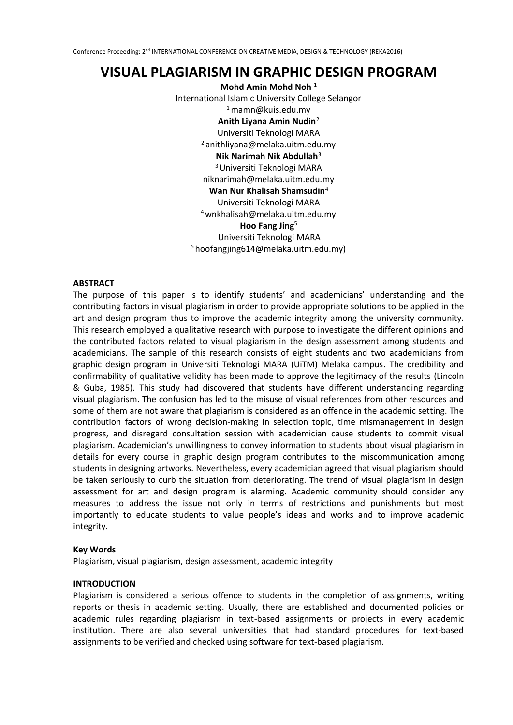# **VISUAL PLAGIARISM IN GRAPHIC DESIGN PROGRAM**

**Mohd Amin Mohd Noh** <sup>1</sup> International Islamic University College Selangor <sup>1</sup>mamn@kuis.edu.my **Anith Liyana Amin Nudin**<sup>2</sup> Universiti Teknologi MARA <sup>2</sup>anithliyana@melaka.uitm.edu.my **Nik Narimah Nik Abdullah**<sup>3</sup> <sup>3</sup>Universiti Teknologi MARA niknarimah@melaka.uitm.edu.my **Wan Nur Khalisah Shamsudin**<sup>4</sup> Universiti Teknologi MARA <sup>4</sup>wnkhalisah@melaka.uitm.edu.my **Hoo Fang Jing**<sup>5</sup> Universiti Teknologi MARA <sup>5</sup> hoofangjing614@melaka.uitm.edu.my)

# **ABSTRACT**

The purpose of this paper is to identify students' and academicians' understanding and the contributing factors in visual plagiarism in order to provide appropriate solutions to be applied in the art and design program thus to improve the academic integrity among the university community. This research employed a qualitative research with purpose to investigate the different opinions and the contributed factors related to visual plagiarism in the design assessment among students and academicians. The sample of this research consists of eight students and two academicians from graphic design program in Universiti Teknologi MARA (UiTM) Melaka campus. The credibility and confirmability of qualitative validity has been made to approve the legitimacy of the results (Lincoln & Guba, 1985). This study had discovered that students have different understanding regarding visual plagiarism. The confusion has led to the misuse of visual references from other resources and some of them are not aware that plagiarism is considered as an offence in the academic setting. The contribution factors of wrong decision-making in selection topic, time mismanagement in design progress, and disregard consultation session with academician cause students to commit visual plagiarism. Academician's unwillingness to convey information to students about visual plagiarism in details for every course in graphic design program contributes to the miscommunication among students in designing artworks. Nevertheless, every academician agreed that visual plagiarism should be taken seriously to curb the situation from deteriorating. The trend of visual plagiarism in design assessment for art and design program is alarming. Academic community should consider any measures to address the issue not only in terms of restrictions and punishments but most importantly to educate students to value people's ideas and works and to improve academic integrity.

## **Key Words**

Plagiarism, visual plagiarism, design assessment, academic integrity

## **INTRODUCTION**

Plagiarism is considered a serious offence to students in the completion of assignments, writing reports or thesis in academic setting. Usually, there are established and documented policies or academic rules regarding plagiarism in text-based assignments or projects in every academic institution. There are also several universities that had standard procedures for text-based assignments to be verified and checked using software for text-based plagiarism.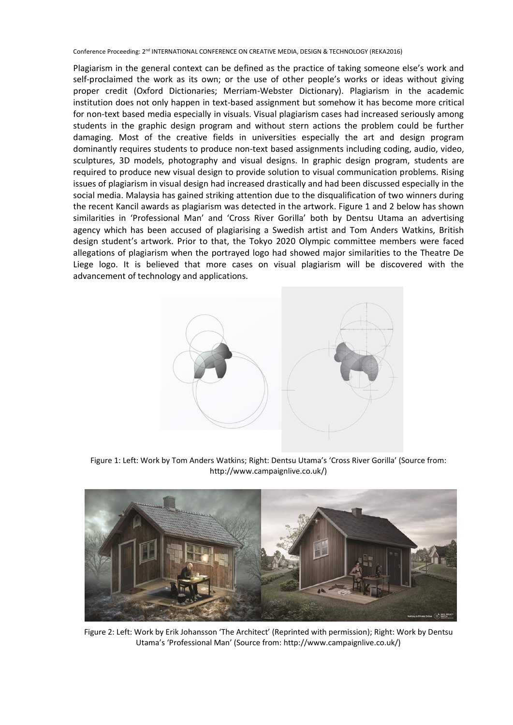Plagiarism in the general context can be defined as the practice of taking someone else's work and self-proclaimed the work as its own; or the use of other people's works or ideas without giving proper credit (Oxford Dictionaries; Merriam-Webster Dictionary). Plagiarism in the academic institution does not only happen in text-based assignment but somehow it has become more critical for non-text based media especially in visuals. Visual plagiarism cases had increased seriously among students in the graphic design program and without stern actions the problem could be further damaging. Most of the creative fields in universities especially the art and design program dominantly requires students to produce non-text based assignments including coding, audio, video, sculptures, 3D models, photography and visual designs. In graphic design program, students are required to produce new visual design to provide solution to visual communication problems. Rising issues of plagiarism in visual design had increased drastically and had been discussed especially in the social media. Malaysia has gained striking attention due to the disqualification of two winners during the recent Kancil awards as plagiarism was detected in the artwork. Figure 1 and 2 below has shown similarities in 'Professional Man' and 'Cross River Gorilla' both by Dentsu Utama an advertising agency which has been accused of plagiarising a Swedish artist and Tom Anders Watkins, British design student's artwork. Prior to that, the Tokyo 2020 Olympic committee members were faced allegations of plagiarism when the portrayed logo had showed major similarities to the Theatre De Liege logo. It is believed that more cases on visual plagiarism will be discovered with the advancement of technology and applications.



Figure 1: Left: Work by Tom Anders Watkins; Right: Dentsu Utama's 'Cross River Gorilla' (Source from: http://www.campaignlive.co.uk/)



Figure 2: Left: Work by Erik Johansson 'The Architect' (Reprinted with permission); Right: Work by Dentsu Utama's 'Professional Man' (Source from: http://www.campaignlive.co.uk/)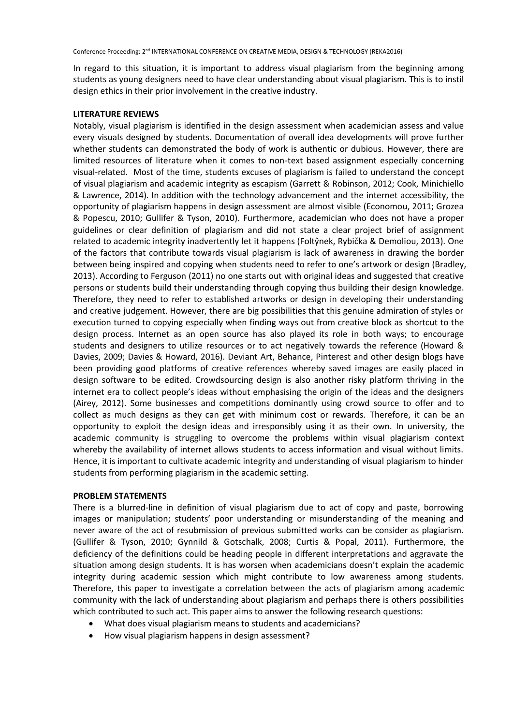In regard to this situation, it is important to address visual plagiarism from the beginning among students as young designers need to have clear understanding about visual plagiarism. This is to instil design ethics in their prior involvement in the creative industry.

# **LITERATURE REVIEWS**

Notably, visual plagiarism is identified in the design assessment when academician assess and value every visuals designed by students. Documentation of overall idea developments will prove further whether students can demonstrated the body of work is authentic or dubious. However, there are limited resources of literature when it comes to non-text based assignment especially concerning visual-related. Most of the time, students excuses of plagiarism is failed to understand the concept of visual plagiarism and academic integrity as escapism (Garrett & Robinson, 2012; Cook, Minichiello & Lawrence, 2014). In addition with the technology advancement and the internet accessibility, the opportunity of plagiarism happens in design assessment are almost visible (Economou, 2011; Grozea & Popescu, 2010; Gullifer & Tyson, 2010). Furthermore, academician who does not have a proper guidelines or clear definition of plagiarism and did not state a clear project brief of assignment related to academic integrity inadvertently let it happens (Foltŷnek, Rybička & Demoliou, 2013). One of the factors that contribute towards visual plagiarism is lack of awareness in drawing the border between being inspired and copying when students need to refer to one's artwork or design (Bradley, 2013). According to Ferguson (2011) no one starts out with original ideas and suggested that creative persons or students build their understanding through copying thus building their design knowledge. Therefore, they need to refer to established artworks or design in developing their understanding and creative judgement. However, there are big possibilities that this genuine admiration of styles or execution turned to copying especially when finding ways out from creative block as shortcut to the design process. Internet as an open source has also played its role in both ways; to encourage students and designers to utilize resources or to act negatively towards the reference (Howard & Davies, 2009; Davies & Howard, 2016). Deviant Art, Behance, Pinterest and other design blogs have been providing good platforms of creative references whereby saved images are easily placed in design software to be edited. Crowdsourcing design is also another risky platform thriving in the internet era to collect people's ideas without emphasising the origin of the ideas and the designers (Airey, 2012). Some businesses and competitions dominantly using crowd source to offer and to collect as much designs as they can get with minimum cost or rewards. Therefore, it can be an opportunity to exploit the design ideas and irresponsibly using it as their own. In university, the academic community is struggling to overcome the problems within visual plagiarism context whereby the availability of internet allows students to access information and visual without limits. Hence, it is important to cultivate academic integrity and understanding of visual plagiarism to hinder students from performing plagiarism in the academic setting.

# **PROBLEM STATEMENTS**

There is a blurred-line in definition of visual plagiarism due to act of copy and paste, borrowing images or manipulation; students' poor understanding or misunderstanding of the meaning and never aware of the act of resubmission of previous submitted works can be consider as plagiarism. (Gullifer & Tyson, 2010; Gynnild & Gotschalk, 2008; Curtis & Popal, 2011). Furthermore, the deficiency of the definitions could be heading people in different interpretations and aggravate the situation among design students. It is has worsen when academicians doesn't explain the academic integrity during academic session which might contribute to low awareness among students. Therefore, this paper to investigate a correlation between the acts of plagiarism among academic community with the lack of understanding about plagiarism and perhaps there is others possibilities which contributed to such act. This paper aims to answer the following research questions:

- What does visual plagiarism means to students and academicians?
- How visual plagiarism happens in design assessment?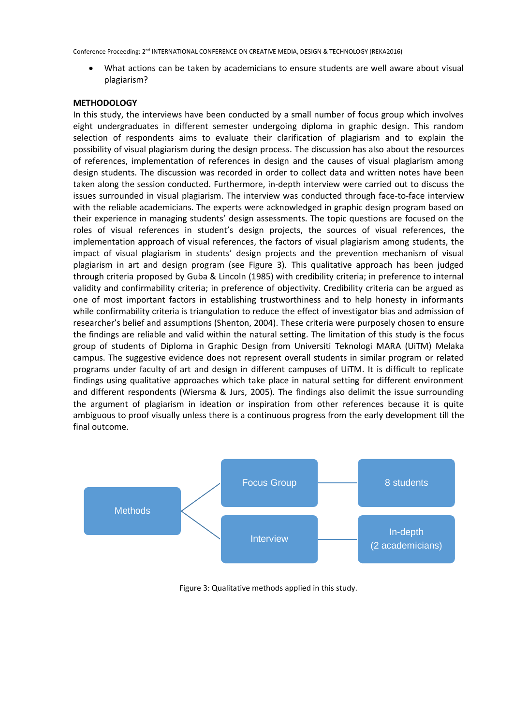• What actions can be taken by academicians to ensure students are well aware about visual plagiarism?

# **METHODOLOGY**

In this study, the interviews have been conducted by a small number of focus group which involves eight undergraduates in different semester undergoing diploma in graphic design. This random selection of respondents aims to evaluate their clarification of plagiarism and to explain the possibility of visual plagiarism during the design process. The discussion has also about the resources of references, implementation of references in design and the causes of visual plagiarism among design students. The discussion was recorded in order to collect data and written notes have been taken along the session conducted. Furthermore, in-depth interview were carried out to discuss the issues surrounded in visual plagiarism. The interview was conducted through face-to-face interview with the reliable academicians. The experts were acknowledged in graphic design program based on their experience in managing students' design assessments. The topic questions are focused on the roles of visual references in student's design projects, the sources of visual references, the implementation approach of visual references, the factors of visual plagiarism among students, the impact of visual plagiarism in students' design projects and the prevention mechanism of visual plagiarism in art and design program (see Figure 3). This qualitative approach has been judged through criteria proposed by Guba & Lincoln (1985) with credibility criteria; in preference to internal validity and confirmability criteria; in preference of objectivity. Credibility criteria can be argued as one of most important factors in establishing trustworthiness and to help honesty in informants while confirmability criteria is triangulation to reduce the effect of investigator bias and admission of researcher's belief and assumptions (Shenton, 2004). These criteria were purposely chosen to ensure the findings are reliable and valid within the natural setting. The limitation of this study is the focus group of students of Diploma in Graphic Design from Universiti Teknologi MARA (UiTM) Melaka campus. The suggestive evidence does not represent overall students in similar program or related programs under faculty of art and design in different campuses of UiTM. It is difficult to replicate findings using qualitative approaches which take place in natural setting for different environment and different respondents (Wiersma & Jurs, 2005). The findings also delimit the issue surrounding the argument of plagiarism in ideation or inspiration from other references because it is quite ambiguous to proof visually unless there is a continuous progress from the early development till the final outcome.



Figure 3: Qualitative methods applied in this study.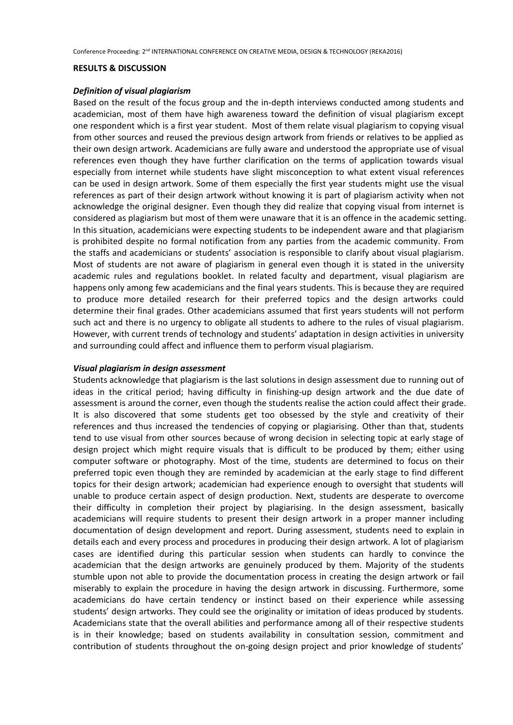#### **RESULTS & DISCUSSION**

## *Definition of visual plagiarism*

Based on the result of the focus group and the in-depth interviews conducted among students and academician, most of them have high awareness toward the definition of visual plagiarism except one respondent which is a first year student. Most of them relate visual plagiarism to copying visual from other sources and reused the previous design artwork from friends or relatives to be applied as their own design artwork. Academicians are fully aware and understood the appropriate use of visual references even though they have further clarification on the terms of application towards visual especially from internet while students have slight misconception to what extent visual references can be used in design artwork. Some of them especially the first year students might use the visual references as part of their design artwork without knowing it is part of plagiarism activity when not acknowledge the original designer. Even though they did realize that copying visual from internet is considered as plagiarism but most of them were unaware that it is an offence in the academic setting. In this situation, academicians were expecting students to be independent aware and that plagiarism is prohibited despite no formal notification from any parties from the academic community. From the staffs and academicians or students' association is responsible to clarify about visual plagiarism. Most of students are not aware of plagiarism in general even though it is stated in the university academic rules and regulations booklet. In related faculty and department, visual plagiarism are happens only among few academicians and the final years students. This is because they are required to produce more detailed research for their preferred topics and the design artworks could determine their final grades. Other academicians assumed that first years students will not perform such act and there is no urgency to obligate all students to adhere to the rules of visual plagiarism. However, with current trends of technology and students' adaptation in design activities in university and surrounding could affect and influence them to perform visual plagiarism.

## *Visual plagiarism in design assessment*

Students acknowledge that plagiarism is the last solutions in design assessment due to running out of ideas in the critical period; having difficulty in finishing-up design artwork and the due date of assessment is around the corner, even though the students realise the action could affect their grade. It is also discovered that some students get too obsessed by the style and creativity of their references and thus increased the tendencies of copying or plagiarising. Other than that, students tend to use visual from other sources because of wrong decision in selecting topic at early stage of design project which might require visuals that is difficult to be produced by them; either using computer software or photography. Most of the time, students are determined to focus on their preferred topic even though they are reminded by academician at the early stage to find different topics for their design artwork; academician had experience enough to oversight that students will unable to produce certain aspect of design production. Next, students are desperate to overcome their difficulty in completion their project by plagiarising. In the design assessment, basically academicians will require students to present their design artwork in a proper manner including documentation of design development and report. During assessment, students need to explain in details each and every process and procedures in producing their design artwork. A lot of plagiarism cases are identified during this particular session when students can hardly to convince the academician that the design artworks are genuinely produced by them. Majority of the students stumble upon not able to provide the documentation process in creating the design artwork or fail miserably to explain the procedure in having the design artwork in discussing. Furthermore, some academicians do have certain tendency or instinct based on their experience while assessing students' design artworks. They could see the originality or imitation of ideas produced by students. Academicians state that the overall abilities and performance among all of their respective students is in their knowledge; based on students availability in consultation session, commitment and contribution of students throughout the on-going design project and prior knowledge of students'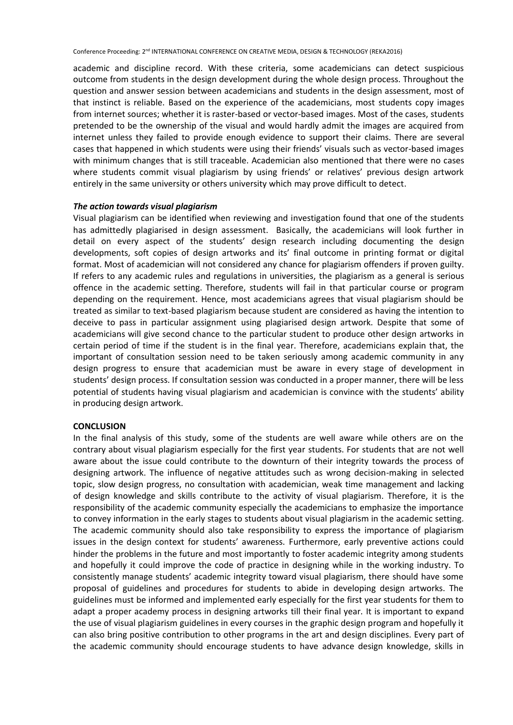academic and discipline record. With these criteria, some academicians can detect suspicious outcome from students in the design development during the whole design process. Throughout the question and answer session between academicians and students in the design assessment, most of that instinct is reliable. Based on the experience of the academicians, most students copy images from internet sources; whether it is raster-based or vector-based images. Most of the cases, students pretended to be the ownership of the visual and would hardly admit the images are acquired from internet unless they failed to provide enough evidence to support their claims. There are several cases that happened in which students were using their friends' visuals such as vector-based images with minimum changes that is still traceable. Academician also mentioned that there were no cases where students commit visual plagiarism by using friends' or relatives' previous design artwork entirely in the same university or others university which may prove difficult to detect.

# *The action towards visual plagiarism*

Visual plagiarism can be identified when reviewing and investigation found that one of the students has admittedly plagiarised in design assessment. Basically, the academicians will look further in detail on every aspect of the students' design research including documenting the design developments, soft copies of design artworks and its' final outcome in printing format or digital format. Most of academician will not considered any chance for plagiarism offenders if proven guilty. If refers to any academic rules and regulations in universities, the plagiarism as a general is serious offence in the academic setting. Therefore, students will fail in that particular course or program depending on the requirement. Hence, most academicians agrees that visual plagiarism should be treated as similar to text-based plagiarism because student are considered as having the intention to deceive to pass in particular assignment using plagiarised design artwork. Despite that some of academicians will give second chance to the particular student to produce other design artworks in certain period of time if the student is in the final year. Therefore, academicians explain that, the important of consultation session need to be taken seriously among academic community in any design progress to ensure that academician must be aware in every stage of development in students' design process. If consultation session was conducted in a proper manner, there will be less potential of students having visual plagiarism and academician is convince with the students' ability in producing design artwork.

## **CONCLUSION**

In the final analysis of this study, some of the students are well aware while others are on the contrary about visual plagiarism especially for the first year students. For students that are not well aware about the issue could contribute to the downturn of their integrity towards the process of designing artwork. The influence of negative attitudes such as wrong decision-making in selected topic, slow design progress, no consultation with academician, weak time management and lacking of design knowledge and skills contribute to the activity of visual plagiarism. Therefore, it is the responsibility of the academic community especially the academicians to emphasize the importance to convey information in the early stages to students about visual plagiarism in the academic setting. The academic community should also take responsibility to express the importance of plagiarism issues in the design context for students' awareness. Furthermore, early preventive actions could hinder the problems in the future and most importantly to foster academic integrity among students and hopefully it could improve the code of practice in designing while in the working industry. To consistently manage students' academic integrity toward visual plagiarism, there should have some proposal of guidelines and procedures for students to abide in developing design artworks. The guidelines must be informed and implemented early especially for the first year students for them to adapt a proper academy process in designing artworks till their final year. It is important to expand the use of visual plagiarism guidelines in every courses in the graphic design program and hopefully it can also bring positive contribution to other programs in the art and design disciplines. Every part of the academic community should encourage students to have advance design knowledge, skills in